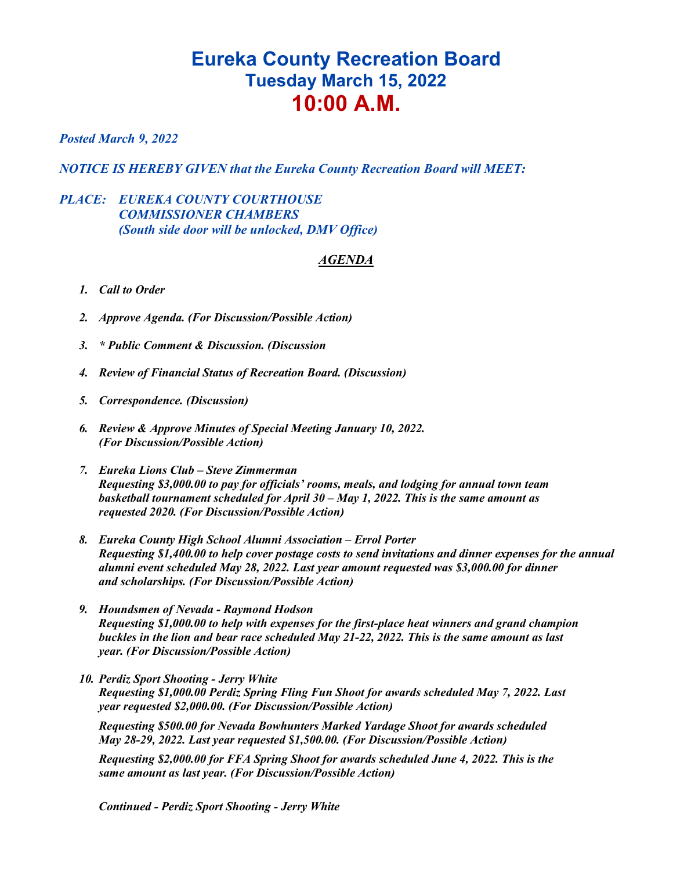## **Eureka County Recreation Board Tuesday March 15, 2022 10:00 A.M.**

## *Posted March 9, 2022*

*NOTICE IS HEREBY GIVEN that the Eureka County Recreation Board will MEET:*

## *PLACE: EUREKA COUNTY COURTHOUSE COMMISSIONER CHAMBERS (South side door will be unlocked, DMV Office)*

## *AGENDA*

- *1. Call to Order*
- *2. Approve Agenda. (For Discussion/Possible Action)*
- *3. \* Public Comment & Discussion. (Discussion*
- *4. Review of Financial Status of Recreation Board. (Discussion)*
- *5. Correspondence. (Discussion)*
- *6. Review & Approve Minutes of Special Meeting January 10, 2022. (For Discussion/Possible Action)*
- *7. Eureka Lions Club – Steve Zimmerman Requesting \$3,000.00 to pay for officials' rooms, meals, and lodging for annual town team basketball tournament scheduled for April 30 – May 1, 2022. This is the same amount as requested 2020. (For Discussion/Possible Action)*
- *8. Eureka County High School Alumni Association – Errol Porter Requesting \$1,400.00 to help cover postage costs to send invitations and dinner expenses for the annual alumni event scheduled May 28, 2022. Last year amount requested was \$3,000.00 for dinner and scholarships. (For Discussion/Possible Action)*
- *9. Houndsmen of Nevada - Raymond Hodson Requesting \$1,000.00 to help with expenses for the first-place heat winners and grand champion buckles in the lion and bear race scheduled May 21-22, 2022. This is the same amount as last year. (For Discussion/Possible Action)*
- *10. Perdiz Sport Shooting - Jerry White Requesting \$1,000.00 Perdiz Spring Fling Fun Shoot for awards scheduled May 7, 2022. Last year requested \$2,000.00. (For Discussion/Possible Action)*

*Requesting \$500.00 for Nevada Bowhunters Marked Yardage Shoot for awards scheduled May 28-29, 2022. Last year requested \$1,500.00. (For Discussion/Possible Action)*

*Requesting \$2,000.00 for FFA Spring Shoot for awards scheduled June 4, 2022. This is the same amount as last year. (For Discussion/Possible Action)*

*Continued - Perdiz Sport Shooting - Jerry White*